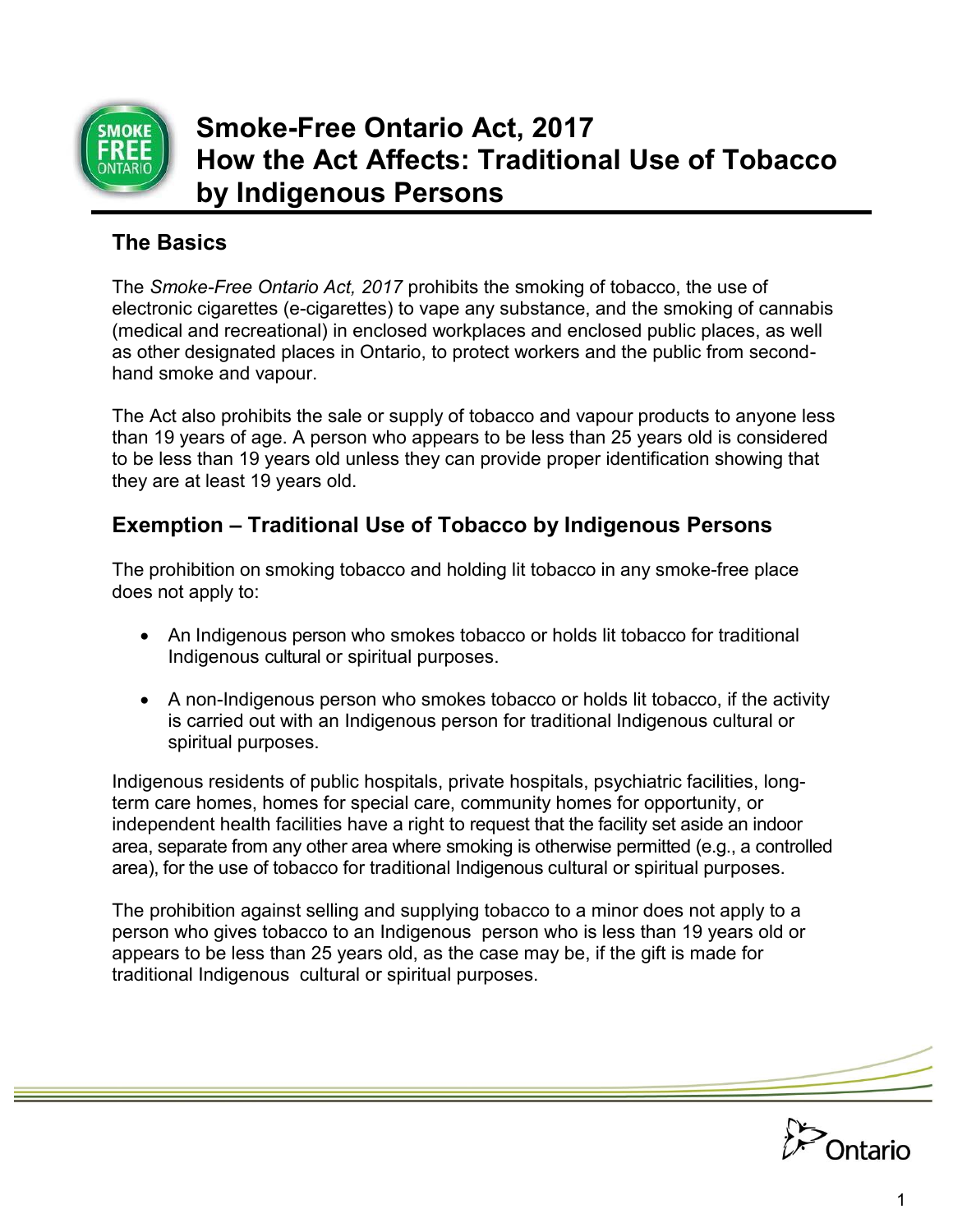

# **Smoke-Free Ontario Act, 2017 How the Act Affects: Traditional Use of Tobacco by Indigenous Persons**

#### **The Basics**

The *Smoke-Free Ontario Act, 2017* prohibits the smoking of tobacco, the use of electronic cigarettes (e-cigarettes) to vape any substance, and the smoking of cannabis (medical and recreational) in enclosed workplaces and enclosed public places, as well as other designated places in Ontario, to protect workers and the public from secondhand smoke and vapour.

The Act also prohibits the sale or supply of tobacco and vapour products to anyone less than 19 years of age. A person who appears to be less than 25 years old is considered to be less than 19 years old unless they can provide proper identification showing that they are at least 19 years old.

#### **Exemption – Traditional Use of Tobacco by Indigenous Persons**

The prohibition on smoking tobacco and holding lit tobacco in any smoke-free place does not apply to:

- An Indigenous person who smokes tobacco or holds lit tobacco for traditional Indigenous cultural or spiritual purposes.
- A non-Indigenous person who smokes tobacco or holds lit tobacco, if the activity is carried out with an Indigenous person for traditional Indigenous cultural or spiritual purposes.

Indigenous residents of public hospitals, private hospitals, psychiatric facilities, longterm care homes, homes for special care, community homes for opportunity, or independent health facilities have a right to request that the facility set aside an indoor area, separate from any other area where smoking is otherwise permitted (e.g., a controlled area), for the use of tobacco for traditional Indigenous cultural or spiritual purposes.

The prohibition against selling and supplying tobacco to a minor does not apply to a person who gives tobacco to an Indigenous person who is less than 19 years old or appears to be less than 25 years old, as the case may be, if the gift is made for traditional Indigenous cultural or spiritual purposes.